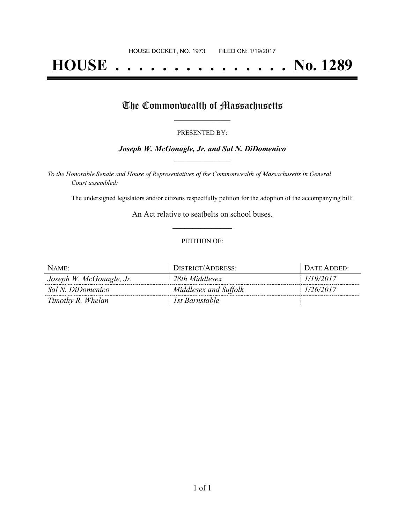# **HOUSE . . . . . . . . . . . . . . . No. 1289**

## The Commonwealth of Massachusetts

#### PRESENTED BY:

#### *Joseph W. McGonagle, Jr. and Sal N. DiDomenico* **\_\_\_\_\_\_\_\_\_\_\_\_\_\_\_\_\_**

*To the Honorable Senate and House of Representatives of the Commonwealth of Massachusetts in General Court assembled:*

The undersigned legislators and/or citizens respectfully petition for the adoption of the accompanying bill:

An Act relative to seatbelts on school buses. **\_\_\_\_\_\_\_\_\_\_\_\_\_\_\_**

#### PETITION OF:

| $NAME$ :                 | DISTRICT/ADDRESS:     | Date Added:- |
|--------------------------|-----------------------|--------------|
| Joseph W. McGonagle, Jr. | 28th Middlesex        | 1/19/2017    |
| Sal N. DiDomenico        | Middlesex and Suffolk | 1/26/2017    |
| Timothy R. Whelan        | 1st Barnstable        |              |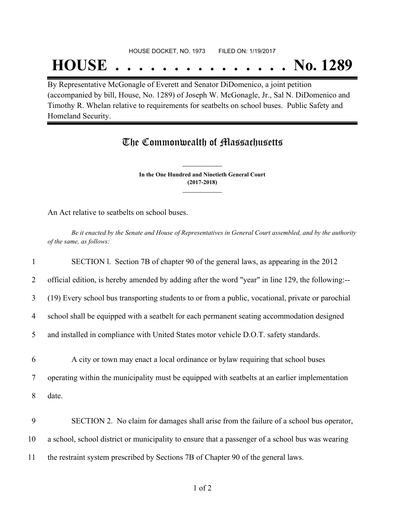#### HOUSE DOCKET, NO. 1973 FILED ON: 1/19/2017

## **HOUSE . . . . . . . . . . . . . . . No. 1289**

By Representative McGonagle of Everett and Senator DiDomenico, a joint petition (accompanied by bill, House, No. 1289) of Joseph W. McGonagle, Jr., Sal N. DiDomenico and Timothy R. Whelan relative to requirements for seatbelts on school buses. Public Safety and Homeland Security.

### The Commonwealth of Massachusetts

**In the One Hundred and Ninetieth General Court (2017-2018) \_\_\_\_\_\_\_\_\_\_\_\_\_\_\_**

**\_\_\_\_\_\_\_\_\_\_\_\_\_\_\_**

An Act relative to seatbelts on school buses.

Be it enacted by the Senate and House of Representatives in General Court assembled, and by the authority *of the same, as follows:*

| 1              | SECTION 1. Section 7B of chapter 90 of the general laws, as appearing in the 2012                 |
|----------------|---------------------------------------------------------------------------------------------------|
| 2              | official edition, is hereby amended by adding after the word "year" in line 129, the following:-- |
| 3              | (19) Every school bus transporting students to or from a public, vocational, private or parochial |
| $\overline{4}$ | school shall be equipped with a seatbelt for each permanent seating accommodation designed        |
| 5              | and installed in compliance with United States motor vehicle D.O.T. safety standards.             |
|                |                                                                                                   |
| 6              | A city or town may enact a local ordinance or bylaw requiring that school buses                   |
| 7              | operating within the municipality must be equipped with seatbelts at an earlier implementation    |
| 8              | date.                                                                                             |
|                |                                                                                                   |
| 9              | SECTION 2. No claim for damages shall arise from the failure of a school bus operator,            |
| 10             | a school, school district or municipality to ensure that a passenger of a school bus was wearing  |
| 11             | the restraint system prescribed by Sections 7B of Chapter 90 of the general laws.                 |